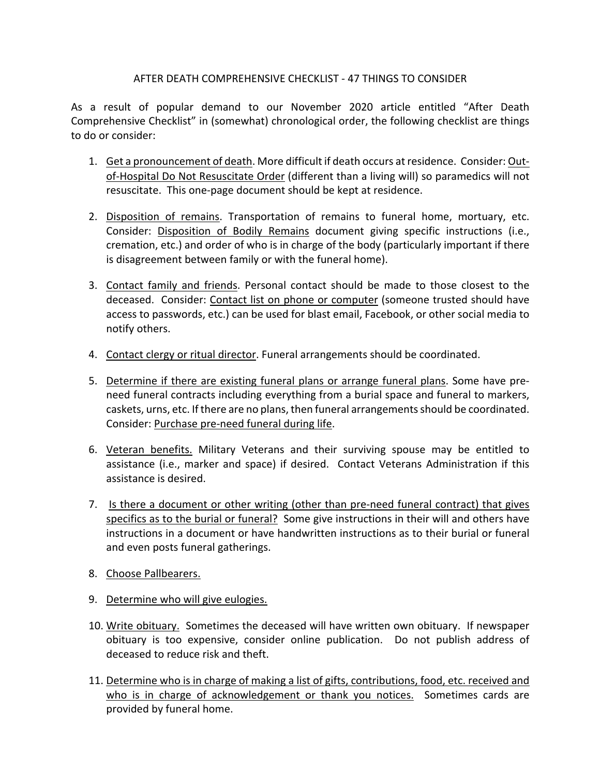# AFTER DEATH COMPREHENSIVE CHECKLIST - 47 THINGS TO CONSIDER

As a result of popular demand to our November 2020 article entitled "After Death Comprehensive Checklist" in (somewhat) chronological order, the following checklist are things to do or consider:

- 1. Get a pronouncement of death. More difficult if death occurs at residence. Consider: Outof-Hospital Do Not Resuscitate Order (different than a living will) so paramedics will not resuscitate. This one-page document should be kept at residence.
- 2. Disposition of remains. Transportation of remains to funeral home, mortuary, etc. Consider: Disposition of Bodily Remains document giving specific instructions (i.e., cremation, etc.) and order of who is in charge of the body (particularly important if there is disagreement between family or with the funeral home).
- 3. Contact family and friends. Personal contact should be made to those closest to the deceased. Consider: Contact list on phone or computer (someone trusted should have access to passwords, etc.) can be used for blast email, Facebook, or other social media to notify others.
- 4. Contact clergy or ritual director. Funeral arrangements should be coordinated.
- 5. Determine if there are existing funeral plans or arrange funeral plans. Some have preneed funeral contracts including everything from a burial space and funeral to markers, caskets, urns, etc. If there are no plans, then funeral arrangements should be coordinated. Consider: Purchase pre-need funeral during life.
- 6. Veteran benefits. Military Veterans and their surviving spouse may be entitled to assistance (i.e., marker and space) if desired. Contact Veterans Administration if this assistance is desired.
- 7. Is there a document or other writing (other than pre-need funeral contract) that gives specifics as to the burial or funeral? Some give instructions in their will and others have instructions in a document or have handwritten instructions as to their burial or funeral and even posts funeral gatherings.
- 8. Choose Pallbearers.
- 9. Determine who will give eulogies.
- 10. Write obituary. Sometimes the deceased will have written own obituary. If newspaper obituary is too expensive, consider online publication. Do not publish address of deceased to reduce risk and theft.
- 11. Determine who is in charge of making a list of gifts, contributions, food, etc. received and who is in charge of acknowledgement or thank you notices. Sometimes cards are provided by funeral home.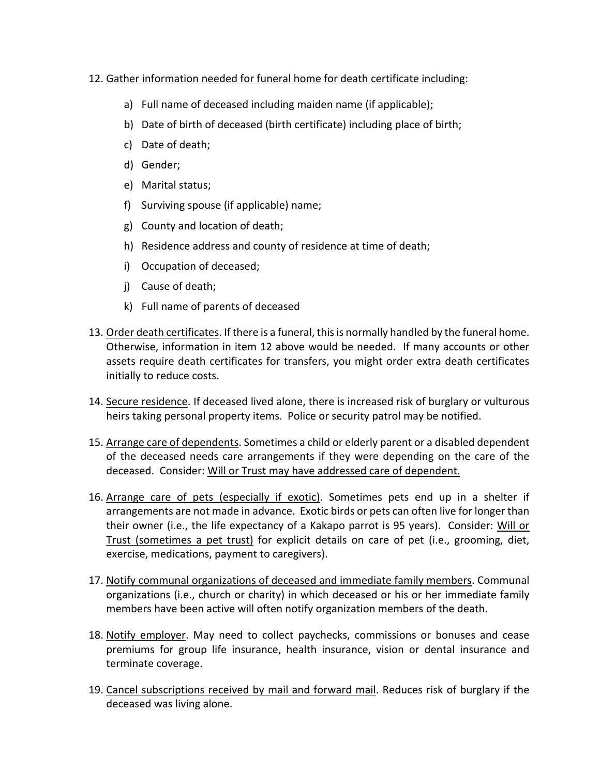# 12. Gather information needed for funeral home for death certificate including:

- a) Full name of deceased including maiden name (if applicable);
- b) Date of birth of deceased (birth certificate) including place of birth;
- c) Date of death;
- d) Gender;
- e) Marital status;
- f) Surviving spouse (if applicable) name;
- g) County and location of death;
- h) Residence address and county of residence at time of death;
- i) Occupation of deceased;
- j) Cause of death;
- k) Full name of parents of deceased
- 13. Order death certificates. If there is a funeral, this is normally handled by the funeral home. Otherwise, information in item 12 above would be needed. If many accounts or other assets require death certificates for transfers, you might order extra death certificates initially to reduce costs.
- 14. Secure residence. If deceased lived alone, there is increased risk of burglary or vulturous heirs taking personal property items. Police or security patrol may be notified.
- 15. Arrange care of dependents. Sometimes a child or elderly parent or a disabled dependent of the deceased needs care arrangements if they were depending on the care of the deceased. Consider: Will or Trust may have addressed care of dependent.
- 16. Arrange care of pets (especially if exotic). Sometimes pets end up in a shelter if arrangements are not made in advance. Exotic birds or pets can often live for longer than their owner (i.e., the life expectancy of a Kakapo parrot is 95 years). Consider: Will or Trust (sometimes a pet trust) for explicit details on care of pet (i.e., grooming, diet, exercise, medications, payment to caregivers).
- 17. Notify communal organizations of deceased and immediate family members. Communal organizations (i.e., church or charity) in which deceased or his or her immediate family members have been active will often notify organization members of the death.
- 18. Notify employer. May need to collect paychecks, commissions or bonuses and cease premiums for group life insurance, health insurance, vision or dental insurance and terminate coverage.
- 19. Cancel subscriptions received by mail and forward mail. Reduces risk of burglary if the deceased was living alone.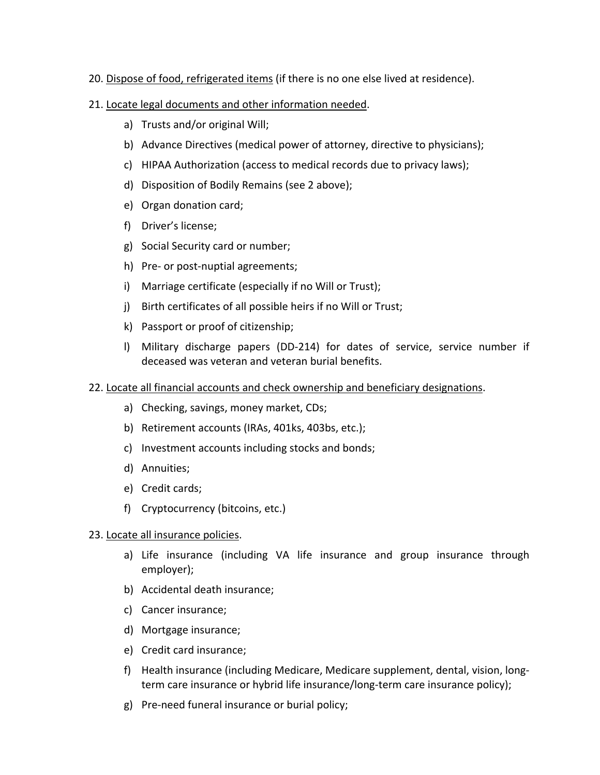- 20. Dispose of food, refrigerated items (if there is no one else lived at residence).
- 21. Locate legal documents and other information needed.
	- a) Trusts and/or original Will;
	- b) Advance Directives (medical power of attorney, directive to physicians);
	- c) HIPAA Authorization (access to medical records due to privacy laws);
	- d) Disposition of Bodily Remains (see 2 above);
	- e) Organ donation card;
	- f) Driver's license;
	- g) Social Security card or number;
	- h) Pre- or post-nuptial agreements;
	- i) Marriage certificate (especially if no Will or Trust);
	- j) Birth certificates of all possible heirs if no Will or Trust;
	- k) Passport or proof of citizenship;
	- l) Military discharge papers (DD-214) for dates of service, service number if deceased was veteran and veteran burial benefits.

# 22. Locate all financial accounts and check ownership and beneficiary designations.

- a) Checking, savings, money market, CDs;
- b) Retirement accounts (IRAs, 401ks, 403bs, etc.);
- c) Investment accounts including stocks and bonds;
- d) Annuities;
- e) Credit cards;
- f) Cryptocurrency (bitcoins, etc.)

### 23. Locate all insurance policies.

- a) Life insurance (including VA life insurance and group insurance through employer);
- b) Accidental death insurance;
- c) Cancer insurance;
- d) Mortgage insurance;
- e) Credit card insurance;
- f) Health insurance (including Medicare, Medicare supplement, dental, vision, longterm care insurance or hybrid life insurance/long-term care insurance policy);
- g) Pre-need funeral insurance or burial policy;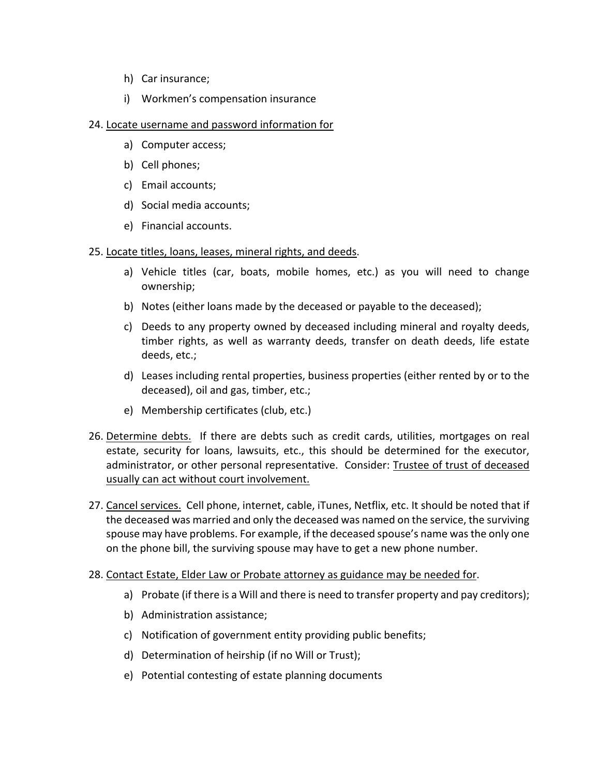- h) Car insurance;
- i) Workmen's compensation insurance

# 24. Locate username and password information for

- a) Computer access;
- b) Cell phones;
- c) Email accounts;
- d) Social media accounts;
- e) Financial accounts.

### 25. Locate titles, loans, leases, mineral rights, and deeds.

- a) Vehicle titles (car, boats, mobile homes, etc.) as you will need to change ownership;
- b) Notes (either loans made by the deceased or payable to the deceased);
- c) Deeds to any property owned by deceased including mineral and royalty deeds, timber rights, as well as warranty deeds, transfer on death deeds, life estate deeds, etc.;
- d) Leases including rental properties, business properties (either rented by or to the deceased), oil and gas, timber, etc.;
- e) Membership certificates (club, etc.)
- 26. Determine debts. If there are debts such as credit cards, utilities, mortgages on real estate, security for loans, lawsuits, etc., this should be determined for the executor, administrator, or other personal representative. Consider: Trustee of trust of deceased usually can act without court involvement.
- 27. Cancel services. Cell phone, internet, cable, iTunes, Netflix, etc. It should be noted that if the deceased was married and only the deceased was named on the service, the surviving spouse may have problems. For example, if the deceased spouse's name was the only one on the phone bill, the surviving spouse may have to get a new phone number.
- 28. Contact Estate, Elder Law or Probate attorney as guidance may be needed for.
	- a) Probate (if there is a Will and there is need to transfer property and pay creditors);
	- b) Administration assistance;
	- c) Notification of government entity providing public benefits;
	- d) Determination of heirship (if no Will or Trust);
	- e) Potential contesting of estate planning documents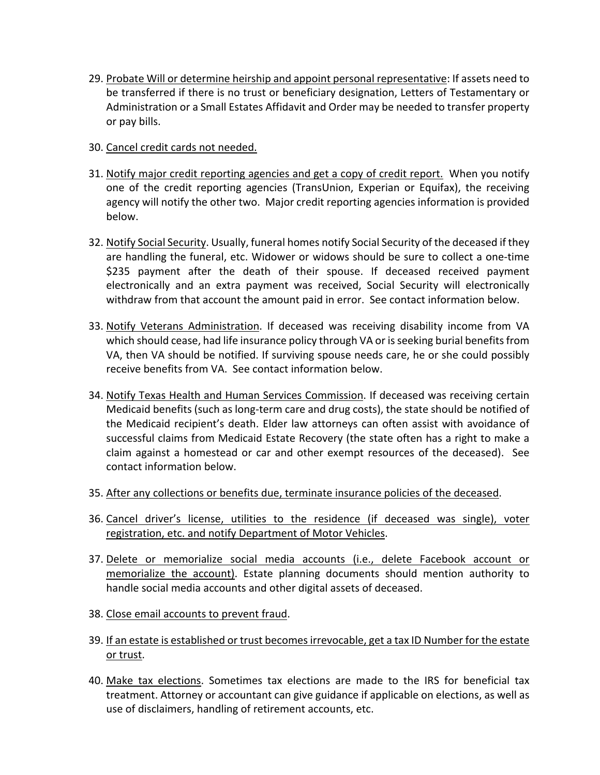- 29. Probate Will or determine heirship and appoint personal representative: If assets need to be transferred if there is no trust or beneficiary designation, Letters of Testamentary or Administration or a Small Estates Affidavit and Order may be needed to transfer property or pay bills.
- 30. Cancel credit cards not needed.
- 31. Notify major credit reporting agencies and get a copy of credit report. When you notify one of the credit reporting agencies (TransUnion, Experian or Equifax), the receiving agency will notify the other two. Major credit reporting agencies information is provided below.
- 32. Notify Social Security. Usually, funeral homes notify Social Security of the deceased if they are handling the funeral, etc. Widower or widows should be sure to collect a one-time \$235 payment after the death of their spouse. If deceased received payment electronically and an extra payment was received, Social Security will electronically withdraw from that account the amount paid in error. See contact information below.
- 33. Notify Veterans Administration. If deceased was receiving disability income from VA which should cease, had life insurance policy through VA or is seeking burial benefits from VA, then VA should be notified. If surviving spouse needs care, he or she could possibly receive benefits from VA. See contact information below.
- 34. Notify Texas Health and Human Services Commission. If deceased was receiving certain Medicaid benefits (such as long-term care and drug costs), the state should be notified of the Medicaid recipient's death. Elder law attorneys can often assist with avoidance of successful claims from Medicaid Estate Recovery (the state often has a right to make a claim against a homestead or car and other exempt resources of the deceased). See contact information below.
- 35. After any collections or benefits due, terminate insurance policies of the deceased.
- 36. Cancel driver's license, utilities to the residence (if deceased was single), voter registration, etc. and notify Department of Motor Vehicles.
- 37. Delete or memorialize social media accounts (i.e., delete Facebook account or memorialize the account). Estate planning documents should mention authority to handle social media accounts and other digital assets of deceased.
- 38. Close email accounts to prevent fraud.
- 39. If an estate is established or trust becomes irrevocable, get a tax ID Number for the estate or trust.
- 40. Make tax elections. Sometimes tax elections are made to the IRS for beneficial tax treatment. Attorney or accountant can give guidance if applicable on elections, as well as use of disclaimers, handling of retirement accounts, etc.